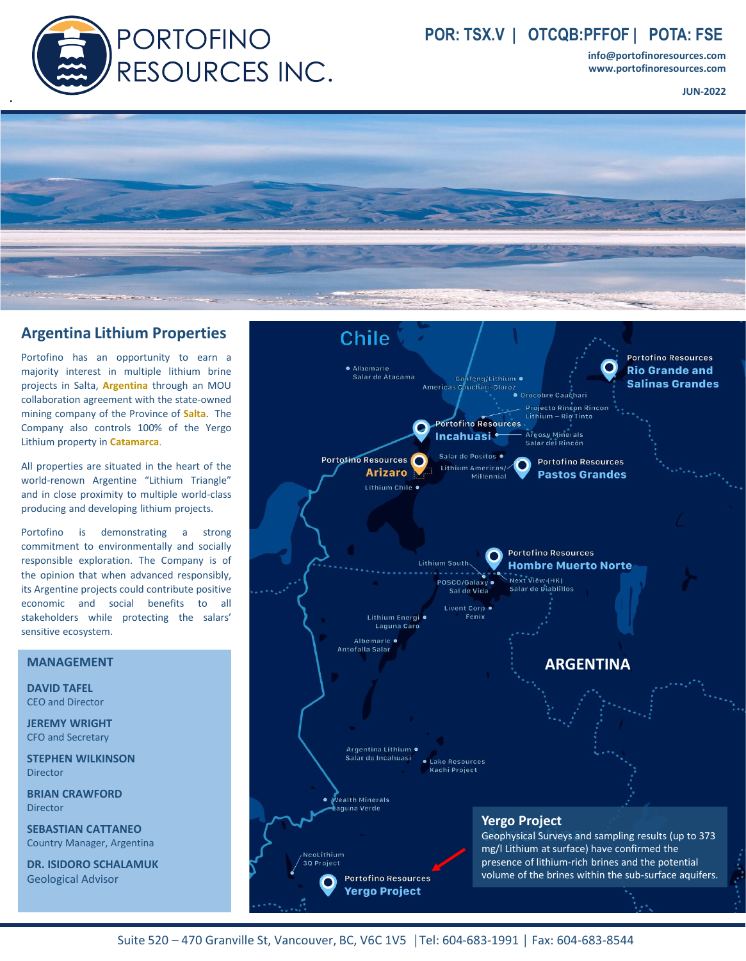

# **POR: TSX.V | OTCQB:PFFOF | POTA: FSE**

**info@portofinoresources.com www.portofinoresources.com**

**JUN-2022**



### **Argentina Lithium Properties**

Portofino has an opportunity to earn a majority interest in multiple lithium brine projects in Salta, **Argentina** through an MOU collaboration agreement with the state-owned mining company of the Province of **Salta**. The Company also controls 100% of the Yergo Lithium property in **Catamarca**.

All properties are situated in the heart of the world-renown Argentine "Lithium Triangle" and in close proximity to multiple world-class producing and developing lithium projects.

Portofino is demonstrating a strong commitment to environmentally and socially responsible exploration. The Company is of the opinion that when advanced responsibly, its Argentine projects could contribute positive economic and social benefits to all stakeholders while protecting the salars' sensitive ecosystem.

### **MANAGEMENT**

**DAVID TAFEL** CEO and Director

**JEREMY WRIGHT** CFO and Secretary

**STEPHEN WILKINSON** Director

**BRIAN CRAWFORD** Director

**SEBASTIAN CATTANEO** Country Manager, Argentina

**DR. ISIDORO SCHALAMUK** Geological Advisor